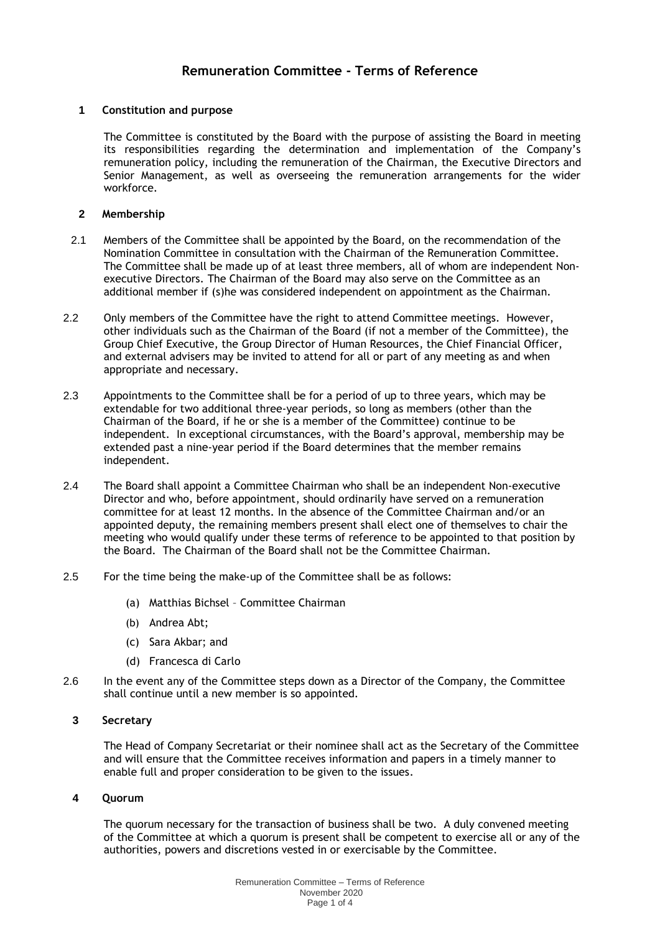# **Remuneration Committee - Terms of Reference**

## **1 Constitution and purpose**

The Committee is constituted by the Board with the purpose of assisting the Board in meeting its responsibilities regarding the determination and implementation of the Company's remuneration policy, including the remuneration of the Chairman, the Executive Directors and Senior Management, as well as overseeing the remuneration arrangements for the wider workforce.

### **2 Membership**

- 2.1 Members of the Committee shall be appointed by the Board, on the recommendation of the Nomination Committee in consultation with the Chairman of the Remuneration Committee. The Committee shall be made up of at least three members, all of whom are independent Nonexecutive Directors. The Chairman of the Board may also serve on the Committee as an additional member if (s)he was considered independent on appointment as the Chairman.
- 2.2 Only members of the Committee have the right to attend Committee meetings. However, other individuals such as the Chairman of the Board (if not a member of the Committee), the Group Chief Executive, the Group Director of Human Resources, the Chief Financial Officer, and external advisers may be invited to attend for all or part of any meeting as and when appropriate and necessary.
- 2.3 Appointments to the Committee shall be for a period of up to three years, which may be extendable for two additional three-year periods, so long as members (other than the Chairman of the Board, if he or she is a member of the Committee) continue to be independent. In exceptional circumstances, with the Board's approval, membership may be extended past a nine-year period if the Board determines that the member remains independent.
- 2.4 The Board shall appoint a Committee Chairman who shall be an independent Non-executive Director and who, before appointment, should ordinarily have served on a remuneration committee for at least 12 months. In the absence of the Committee Chairman and/or an appointed deputy, the remaining members present shall elect one of themselves to chair the meeting who would qualify under these terms of reference to be appointed to that position by the Board. The Chairman of the Board shall not be the Committee Chairman.
- 2.5 For the time being the make-up of the Committee shall be as follows:
	- (a) Matthias Bichsel Committee Chairman
	- (b) Andrea Abt;
	- (c) Sara Akbar; and
	- (d) Francesca di Carlo
- 2.6 In the event any of the Committee steps down as a Director of the Company, the Committee shall continue until a new member is so appointed.

#### **3 Secretary**

The Head of Company Secretariat or their nominee shall act as the Secretary of the Committee and will ensure that the Committee receives information and papers in a timely manner to enable full and proper consideration to be given to the issues.

# **4 Quorum**

The quorum necessary for the transaction of business shall be two. A duly convened meeting of the Committee at which a quorum is present shall be competent to exercise all or any of the authorities, powers and discretions vested in or exercisable by the Committee.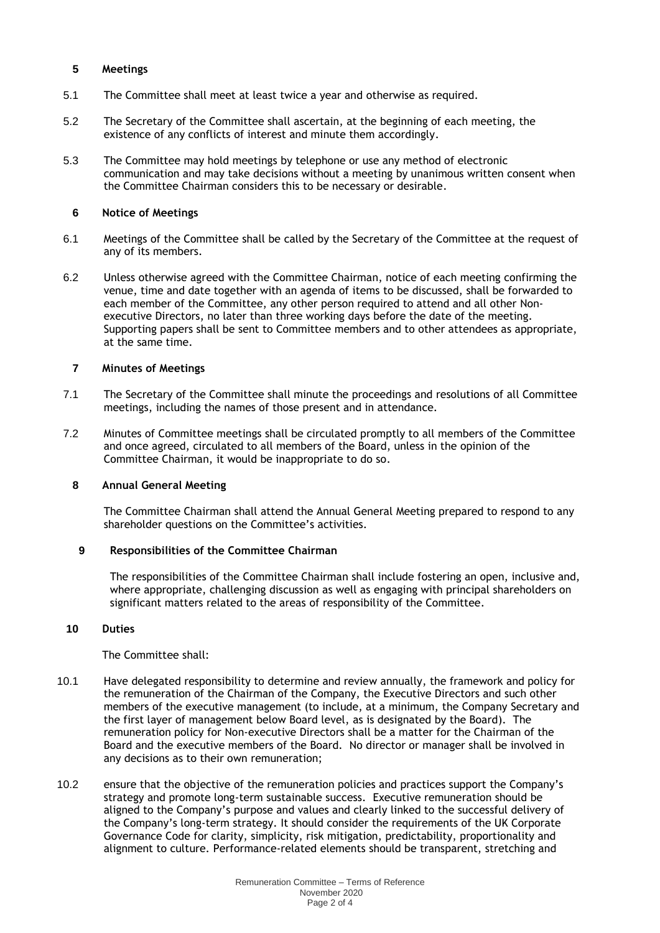## **5 Meetings**

- 5.1 The Committee shall meet at least twice a year and otherwise as required.
- 5.2 The Secretary of the Committee shall ascertain, at the beginning of each meeting, the existence of any conflicts of interest and minute them accordingly.
- 5.3 The Committee may hold meetings by telephone or use any method of electronic communication and may take decisions without a meeting by unanimous written consent when the Committee Chairman considers this to be necessary or desirable.

## **6 Notice of Meetings**

- 6.1 Meetings of the Committee shall be called by the Secretary of the Committee at the request of any of its members.
- 6.2 Unless otherwise agreed with the Committee Chairman, notice of each meeting confirming the venue, time and date together with an agenda of items to be discussed, shall be forwarded to each member of the Committee, any other person required to attend and all other Nonexecutive Directors, no later than three working days before the date of the meeting. Supporting papers shall be sent to Committee members and to other attendees as appropriate, at the same time.

#### **7 Minutes of Meetings**

- 7.1 The Secretary of the Committee shall minute the proceedings and resolutions of all Committee meetings, including the names of those present and in attendance.
- 7.2 Minutes of Committee meetings shall be circulated promptly to all members of the Committee and once agreed, circulated to all members of the Board, unless in the opinion of the Committee Chairman, it would be inappropriate to do so.

# **8 Annual General Meeting**

The Committee Chairman shall attend the Annual General Meeting prepared to respond to any shareholder questions on the Committee's activities.

### **9 Responsibilities of the Committee Chairman**

The responsibilities of the Committee Chairman shall include fostering an open, inclusive and, where appropriate, challenging discussion as well as engaging with principal shareholders on significant matters related to the areas of responsibility of the Committee.

#### **10 Duties**

The Committee shall:

- 10.1 Have delegated responsibility to determine and review annually, the framework and policy for the remuneration of the Chairman of the Company, the Executive Directors and such other members of the executive management (to include, at a minimum, the Company Secretary and the first layer of management below Board level, as is designated by the Board). The remuneration policy for Non-executive Directors shall be a matter for the Chairman of the Board and the executive members of the Board. No director or manager shall be involved in any decisions as to their own remuneration;
- 10.2 ensure that the objective of the remuneration policies and practices support the Company's strategy and promote long-term sustainable success. Executive remuneration should be aligned to the Company's purpose and values and clearly linked to the successful delivery of the Company's long-term strategy. It should consider the requirements of the UK Corporate Governance Code for clarity, simplicity, risk mitigation, predictability, proportionality and alignment to culture. Performance-related elements should be transparent, stretching and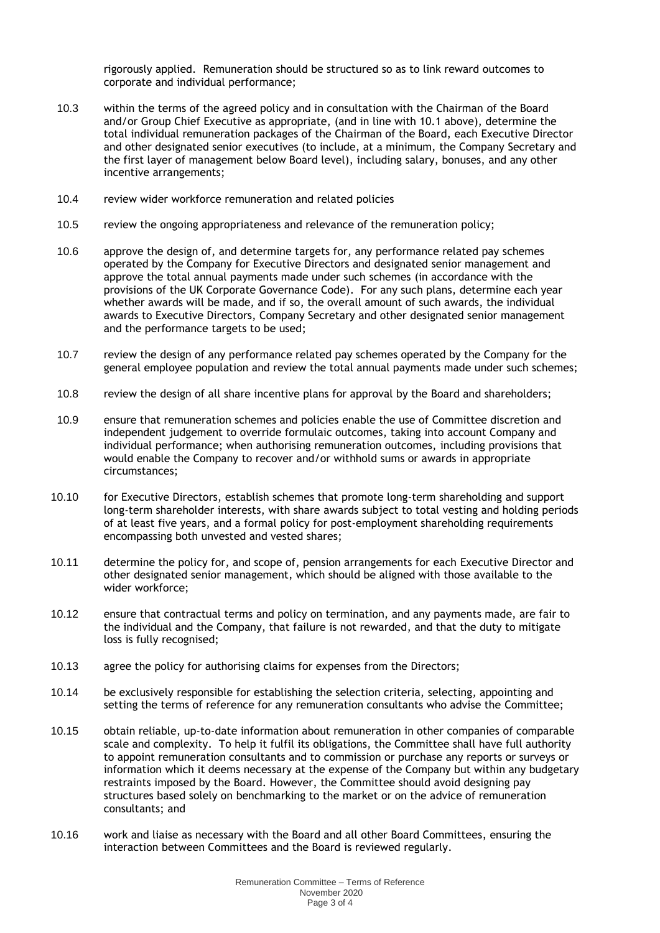rigorously applied. Remuneration should be structured so as to link reward outcomes to corporate and individual performance;

- 10.3 within the terms of the agreed policy and in consultation with the Chairman of the Board and/or Group Chief Executive as appropriate, (and in line with 10.1 above), determine the total individual remuneration packages of the Chairman of the Board, each Executive Director and other designated senior executives (to include, at a minimum, the Company Secretary and the first layer of management below Board level), including salary, bonuses, and any other incentive arrangements;
- 10.4 review wider workforce remuneration and related policies
- 10.5 review the ongoing appropriateness and relevance of the remuneration policy;
- 10.6 approve the design of, and determine targets for, any performance related pay schemes operated by the Company for Executive Directors and designated senior management and approve the total annual payments made under such schemes (in accordance with the provisions of the UK Corporate Governance Code). For any such plans, determine each year whether awards will be made, and if so, the overall amount of such awards, the individual awards to Executive Directors, Company Secretary and other designated senior management and the performance targets to be used;
- 10.7 review the design of any performance related pay schemes operated by the Company for the general employee population and review the total annual payments made under such schemes;
- 10.8 review the design of all share incentive plans for approval by the Board and shareholders;
- 10.9 ensure that remuneration schemes and policies enable the use of Committee discretion and independent judgement to override formulaic outcomes, taking into account Company and individual performance; when authorising remuneration outcomes, including provisions that would enable the Company to recover and/or withhold sums or awards in appropriate circumstances;
- 10.10 for Executive Directors, establish schemes that promote long-term shareholding and support long-term shareholder interests, with share awards subject to total vesting and holding periods of at least five years, and a formal policy for post-employment shareholding requirements encompassing both unvested and vested shares;
- 10.11 determine the policy for, and scope of, pension arrangements for each Executive Director and other designated senior management, which should be aligned with those available to the wider workforce;
- 10.12 ensure that contractual terms and policy on termination, and any payments made, are fair to the individual and the Company, that failure is not rewarded, and that the duty to mitigate loss is fully recognised;
- 10.13 agree the policy for authorising claims for expenses from the Directors;
- 10.14 be exclusively responsible for establishing the selection criteria, selecting, appointing and setting the terms of reference for any remuneration consultants who advise the Committee;
- 10.15 obtain reliable, up-to-date information about remuneration in other companies of comparable scale and complexity. To help it fulfil its obligations, the Committee shall have full authority to appoint remuneration consultants and to commission or purchase any reports or surveys or information which it deems necessary at the expense of the Company but within any budgetary restraints imposed by the Board. However, the Committee should avoid designing pay structures based solely on benchmarking to the market or on the advice of remuneration consultants; and
- 10.16 work and liaise as necessary with the Board and all other Board Committees, ensuring the interaction between Committees and the Board is reviewed regularly.